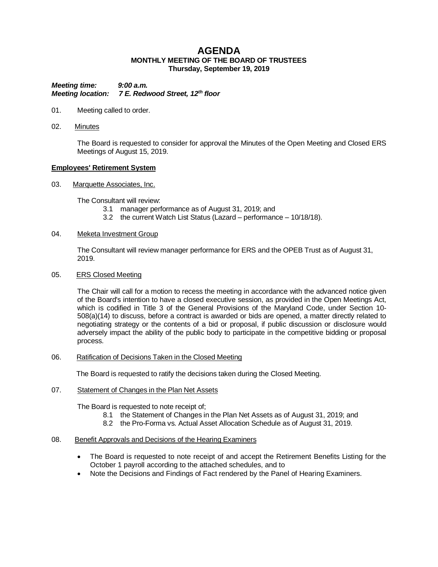# **AGENDA MONTHLY MEETING OF THE BOARD OF TRUSTEES Thursday, September 19, 2019**

*Meeting time: 9:00 a.m. Meeting location: 7 E. Redwood Street, 12th floor*

- 01. Meeting called to order.
- 02. Minutes

The Board is requested to consider for approval the Minutes of the Open Meeting and Closed ERS Meetings of August 15, 2019.

#### **Employees' Retirement System**

03. Marquette Associates, Inc.

The Consultant will review:

- 3.1 manager performance as of August 31, 2019; and
- 3.2 the current Watch List Status (Lazard performance 10/18/18).

### 04. Meketa Investment Group

The Consultant will review manager performance for ERS and the OPEB Trust as of August 31, 2019.

#### 05. ERS Closed Meeting

The Chair will call for a motion to recess the meeting in accordance with the advanced notice given of the Board's intention to have a closed executive session, as provided in the Open Meetings Act, which is codified in Title 3 of the General Provisions of the Maryland Code, under Section 10- 508(a)(14) to discuss, before a contract is awarded or bids are opened, a matter directly related to negotiating strategy or the contents of a bid or proposal, if public discussion or disclosure would adversely impact the ability of the public body to participate in the competitive bidding or proposal process.

#### 06. Ratification of Decisions Taken in the Closed Meeting

The Board is requested to ratify the decisions taken during the Closed Meeting.

#### 07. Statement of Changes in the Plan Net Assets

The Board is requested to note receipt of;

- 8.1 the Statement of Changes in the Plan Net Assets as of August 31, 2019; and
- 8.2 the Pro-Forma vs. Actual Asset Allocation Schedule as of August 31, 2019.

#### 08. Benefit Approvals and Decisions of the Hearing Examiners

- The Board is requested to note receipt of and accept the Retirement Benefits Listing for the October 1 payroll according to the attached schedules, and to
- Note the Decisions and Findings of Fact rendered by the Panel of Hearing Examiners.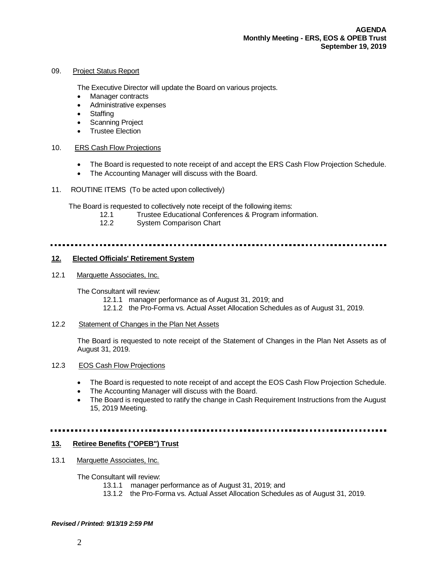#### 09. Project Status Report

The Executive Director will update the Board on various projects.

- Manager contracts
- Administrative expenses
- Staffing
- Scanning Project
- Trustee Election

#### 10. ERS Cash Flow Projections

- The Board is requested to note receipt of and accept the ERS Cash Flow Projection Schedule.
- The Accounting Manager will discuss with the Board.
- 11. ROUTINE ITEMS (To be acted upon collectively)

The Board is requested to collectively note receipt of the following items:

- 12.1 Trustee Educational Conferences & Program information.
- 12.2 System Comparison Chart

#### **12. Elected Officials' Retirement System**

12.1 Marquette Associates, Inc.

The Consultant will review:

- 12.1.1 manager performance as of August 31, 2019; and
- 12.1.2 the Pro-Forma vs. Actual Asset Allocation Schedules as of August 31, 2019.

## 12.2 Statement of Changes in the Plan Net Assets

The Board is requested to note receipt of the Statement of Changes in the Plan Net Assets as of August 31, 2019.

### 12.3 EOS Cash Flow Projections

- The Board is requested to note receipt of and accept the EOS Cash Flow Projection Schedule.
- The Accounting Manager will discuss with the Board.
- The Board is requested to ratify the change in Cash Requirement Instructions from the August 15, 2019 Meeting.

#### 

#### **13. Retiree Benefits ("OPEB") Trust**

13.1 Marquette Associates, Inc.

The Consultant will review:

- 13.1.1 manager performance as of August 31, 2019; and
- 13.1.2 the Pro-Forma vs. Actual Asset Allocation Schedules as of August 31, 2019.